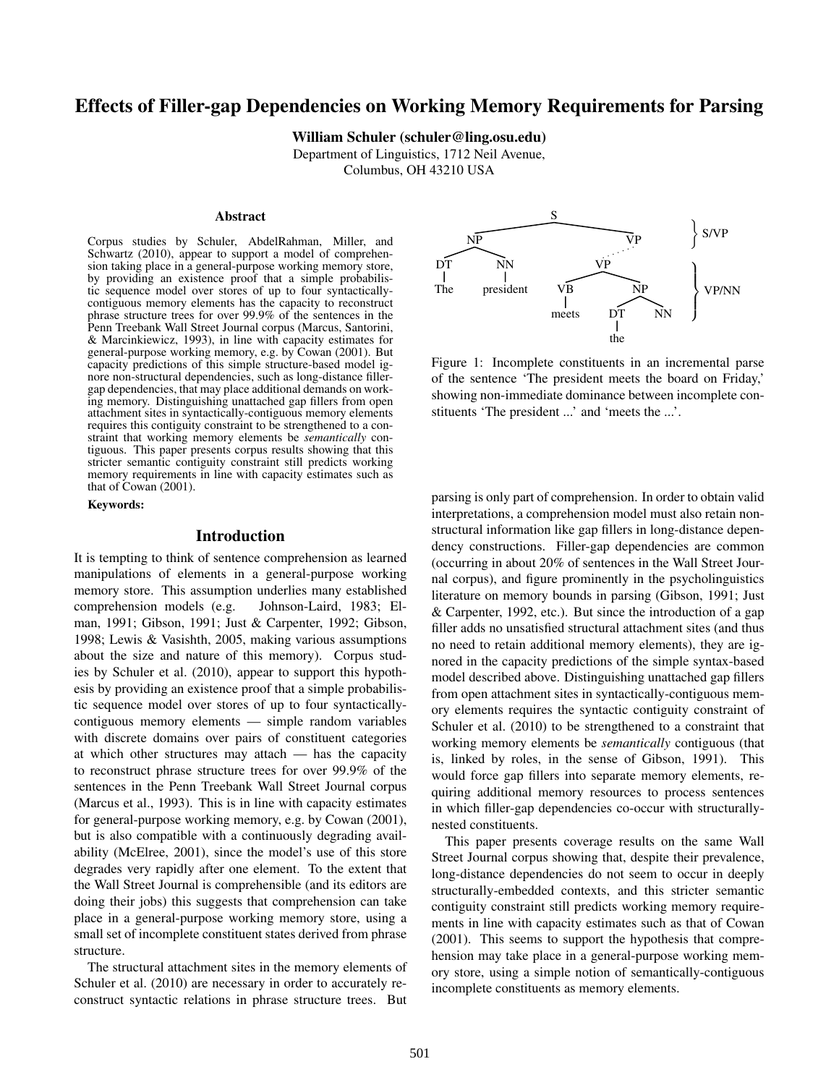# **Effects of Filler-gap Dependencies on Working Memory Requirements for Parsing**

**William Schuler (schuler@ling.osu.edu)**

Department of Linguistics, 1712 Neil Avenue,

Columbus, OH 43210 USA

### **Abstract**

Corpus studies by Schuler, AbdelRahman, Miller, and Schwartz (2010), appear to support a model of comprehension taking place in a general-purpose working memory store, by providing an existence proof that a simple probabilistic sequence model over stores of up to four syntacticallycontiguous memory elements has the capacity to reconstruct phrase structure trees for over 99.9% of the sentences in the Penn Treebank Wall Street Journal corpus (Marcus, Santorini, & Marcinkiewicz, 1993), in line with capacity estimates for general-purpose working memory, e.g. by Cowan (2001). But capacity predictions of this simple structure-based model ignore non-structural dependencies, such as long-distance fillergap dependencies, that may place additional demands on working memory. Distinguishing unattached gap fillers from open attachment sites in syntactically-contiguous memory elements requires this contiguity constraint to be strengthened to a constraint that working memory elements be *semantically* contiguous. This paper presents corpus results showing that this stricter semantic contiguity constraint still predicts working memory requirements in line with capacity estimates such as that of Cowan (2001).

**Keywords:**

## **Introduction**

It is tempting to think of sentence comprehension as learned manipulations of elements in a general-purpose working memory store. This assumption underlies many established comprehension models (e.g. Johnson-Laird, 1983; Elman, 1991; Gibson, 1991; Just & Carpenter, 1992; Gibson, 1998; Lewis & Vasishth, 2005, making various assumptions about the size and nature of this memory). Corpus studies by Schuler et al. (2010), appear to support this hypothesis by providing an existence proof that a simple probabilistic sequence model over stores of up to four syntacticallycontiguous memory elements — simple random variables with discrete domains over pairs of constituent categories at which other structures may attach — has the capacity to reconstruct phrase structure trees for over 99.9% of the sentences in the Penn Treebank Wall Street Journal corpus (Marcus et al., 1993). This is in line with capacity estimates for general-purpose working memory, e.g. by Cowan (2001), but is also compatible with a continuously degrading availability (McElree, 2001), since the model's use of this store degrades very rapidly after one element. To the extent that the Wall Street Journal is comprehensible (and its editors are doing their jobs) this suggests that comprehension can take place in a general-purpose working memory store, using a small set of incomplete constituent states derived from phrase structure.

The structural attachment sites in the memory elements of Schuler et al. (2010) are necessary in order to accurately reconstruct syntactic relations in phrase structure trees. But



Figure 1: Incomplete constituents in an incremental parse of the sentence 'The president meets the board on Friday,' showing non-immediate dominance between incomplete constituents 'The president ...' and 'meets the ...'.

parsing is only part of comprehension. In order to obtain valid interpretations, a comprehension model must also retain nonstructural information like gap fillers in long-distance dependency constructions. Filler-gap dependencies are common (occurring in about 20% of sentences in the Wall Street Journal corpus), and figure prominently in the psycholinguistics literature on memory bounds in parsing (Gibson, 1991; Just & Carpenter, 1992, etc.). But since the introduction of a gap filler adds no unsatisfied structural attachment sites (and thus no need to retain additional memory elements), they are ignored in the capacity predictions of the simple syntax-based model described above. Distinguishing unattached gap fillers from open attachment sites in syntactically-contiguous memory elements requires the syntactic contiguity constraint of Schuler et al. (2010) to be strengthened to a constraint that working memory elements be *semantically* contiguous (that is, linked by roles, in the sense of Gibson, 1991). This would force gap fillers into separate memory elements, requiring additional memory resources to process sentences in which filler-gap dependencies co-occur with structurallynested constituents.

This paper presents coverage results on the same Wall Street Journal corpus showing that, despite their prevalence, long-distance dependencies do not seem to occur in deeply structurally-embedded contexts, and this stricter semantic contiguity constraint still predicts working memory requirements in line with capacity estimates such as that of Cowan (2001). This seems to support the hypothesis that comprehension may take place in a general-purpose working memory store, using a simple notion of semantically-contiguous incomplete constituents as memory elements.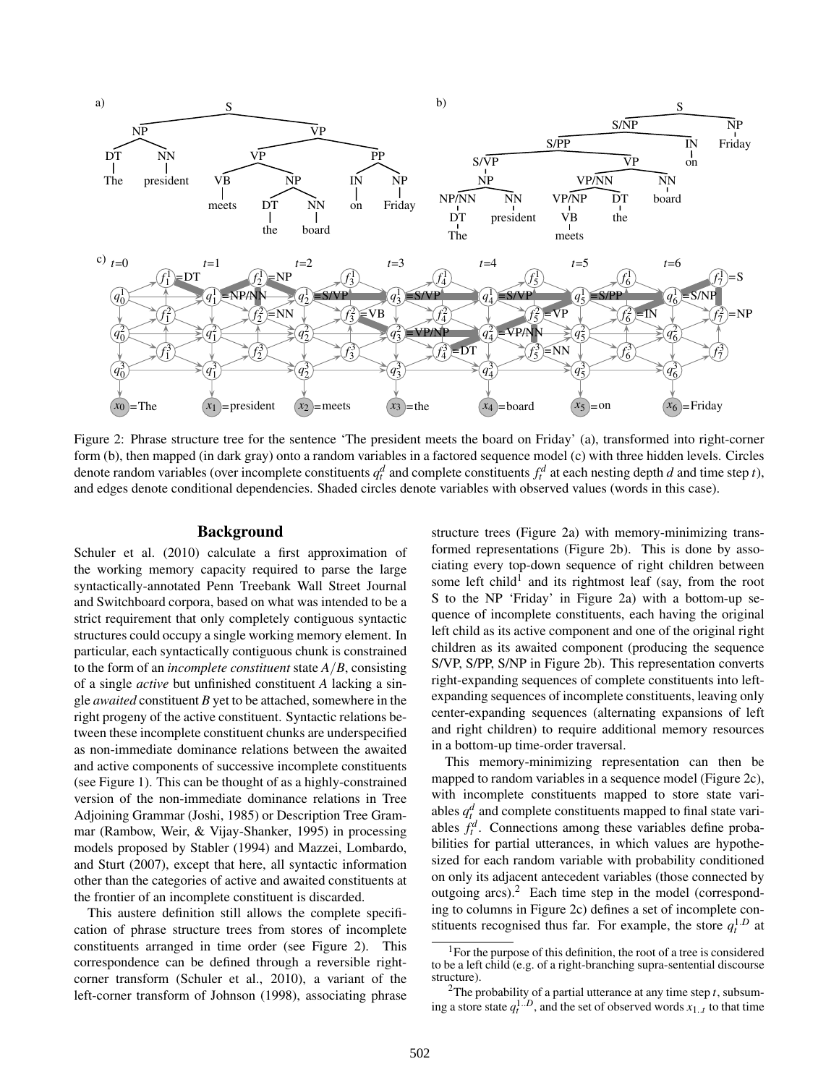

Figure 2: Phrase structure tree for the sentence 'The president meets the board on Friday' (a), transformed into right-corner form (b), then mapped (in dark gray) onto a random variables in a factored sequence model (c) with three hidden levels. Circles denote random variables (over incomplete constituents  $q_t^d$  and complete constituents  $f_t^d$  at each nesting depth *d* and time step *t*), and edges denote conditional dependencies. Shaded circles denote variables with observed values (words in this case).

### **Background**

Schuler et al. (2010) calculate a first approximation of the working memory capacity required to parse the large syntactically-annotated Penn Treebank Wall Street Journal and Switchboard corpora, based on what was intended to be a strict requirement that only completely contiguous syntactic structures could occupy a single working memory element. In particular, each syntactically contiguous chunk is constrained to the form of an *incomplete constituent* state *A*/*B*, consisting of a single *active* but unfinished constituent *A* lacking a single *awaited* constituent *B* yet to be attached, somewhere in the right progeny of the active constituent. Syntactic relations between these incomplete constituent chunks are underspecified as non-immediate dominance relations between the awaited and active components of successive incomplete constituents (see Figure 1). This can be thought of as a highly-constrained version of the non-immediate dominance relations in Tree Adjoining Grammar (Joshi, 1985) or Description Tree Grammar (Rambow, Weir, & Vijay-Shanker, 1995) in processing models proposed by Stabler (1994) and Mazzei, Lombardo, and Sturt (2007), except that here, all syntactic information other than the categories of active and awaited constituents at the frontier of an incomplete constituent is discarded.

This austere definition still allows the complete specification of phrase structure trees from stores of incomplete constituents arranged in time order (see Figure 2). This correspondence can be defined through a reversible rightcorner transform (Schuler et al., 2010), a variant of the left-corner transform of Johnson (1998), associating phrase structure trees (Figure 2a) with memory-minimizing transformed representations (Figure 2b). This is done by associating every top-down sequence of right children between some left child<sup>1</sup> and its rightmost leaf (say, from the root S to the NP 'Friday' in Figure 2a) with a bottom-up sequence of incomplete constituents, each having the original left child as its active component and one of the original right children as its awaited component (producing the sequence S/VP, S/PP, S/NP in Figure 2b). This representation converts right-expanding sequences of complete constituents into leftexpanding sequences of incomplete constituents, leaving only center-expanding sequences (alternating expansions of left and right children) to require additional memory resources in a bottom-up time-order traversal.

This memory-minimizing representation can then be mapped to random variables in a sequence model (Figure 2c), with incomplete constituents mapped to store state variables  $q_t^d$  and complete constituents mapped to final state variables  $f_t^d$ . Connections among these variables define probabilities for partial utterances, in which values are hypothesized for each random variable with probability conditioned on only its adjacent antecedent variables (those connected by outgoing  $arcs$ ).<sup>2</sup> Each time step in the model (corresponding to columns in Figure 2c) defines a set of incomplete constituents recognised thus far. For example, the store  $q_t^{1,D}$  at

<sup>&</sup>lt;sup>1</sup>For the purpose of this definition, the root of a tree is considered to be a left child (e.g. of a right-branching supra-sentential discourse structure).

<sup>&</sup>lt;sup>2</sup>The probability of a partial utterance at any time step  $t$ , subsuming a store state  $q_t^{1..D}$ , and the set of observed words  $x_{1..t}$  to that time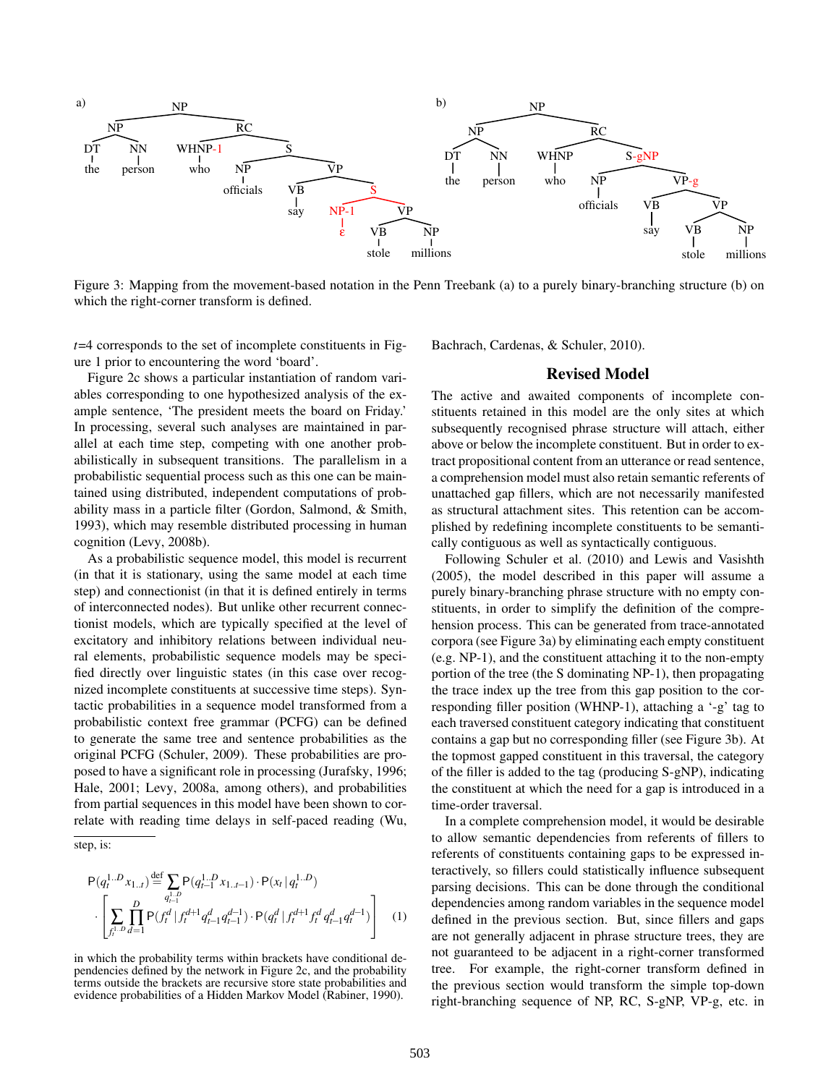

Figure 3: Mapping from the movement-based notation in the Penn Treebank (a) to a purely binary-branching structure (b) on which the right-corner transform is defined.

*t*=4 corresponds to the set of incomplete constituents in Figure 1 prior to encountering the word 'board'.

Figure 2c shows a particular instantiation of random variables corresponding to one hypothesized analysis of the example sentence, 'The president meets the board on Friday.' In processing, several such analyses are maintained in parallel at each time step, competing with one another probabilistically in subsequent transitions. The parallelism in a probabilistic sequential process such as this one can be maintained using distributed, independent computations of probability mass in a particle filter (Gordon, Salmond, & Smith, 1993), which may resemble distributed processing in human cognition (Levy, 2008b).

As a probabilistic sequence model, this model is recurrent (in that it is stationary, using the same model at each time step) and connectionist (in that it is defined entirely in terms of interconnected nodes). But unlike other recurrent connectionist models, which are typically specified at the level of excitatory and inhibitory relations between individual neural elements, probabilistic sequence models may be specified directly over linguistic states (in this case over recognized incomplete constituents at successive time steps). Syntactic probabilities in a sequence model transformed from a probabilistic context free grammar (PCFG) can be defined to generate the same tree and sentence probabilities as the original PCFG (Schuler, 2009). These probabilities are proposed to have a significant role in processing (Jurafsky, 1996; Hale, 2001; Levy, 2008a, among others), and probabilities from partial sequences in this model have been shown to correlate with reading time delays in self-paced reading (Wu,

$$
P(q_t^{1..D} x_{1..t}) \stackrel{\text{def}}{=} \sum_{q_t^{1..D}} P(q_{t-1}^{1..D} x_{1..t-1}) \cdot P(x_t | q_t^{1..D})
$$

$$
\cdot \left[ \sum_{f_t^{1..D}} \prod_{d=1}^D P(f_t^d | f_t^{d+1} q_{t-1}^d q_{t-1}^{d-1}) \cdot P(q_t^d | f_t^{d+1} f_t^d q_{t-1}^d q_t^{d-1}) \right] \tag{1}
$$

in which the probability terms within brackets have conditional dependencies defined by the network in Figure 2c, and the probability terms outside the brackets are recursive store state probabilities and evidence probabilities of a Hidden Markov Model (Rabiner, 1990).

Bachrach, Cardenas, & Schuler, 2010).

## **Revised Model**

The active and awaited components of incomplete constituents retained in this model are the only sites at which subsequently recognised phrase structure will attach, either above or below the incomplete constituent. But in order to extract propositional content from an utterance or read sentence, a comprehension model must also retain semantic referents of unattached gap fillers, which are not necessarily manifested as structural attachment sites. This retention can be accomplished by redefining incomplete constituents to be semantically contiguous as well as syntactically contiguous.

Following Schuler et al. (2010) and Lewis and Vasishth (2005), the model described in this paper will assume a purely binary-branching phrase structure with no empty constituents, in order to simplify the definition of the comprehension process. This can be generated from trace-annotated corpora (see Figure 3a) by eliminating each empty constituent (e.g. NP-1), and the constituent attaching it to the non-empty portion of the tree (the S dominating NP-1), then propagating the trace index up the tree from this gap position to the corresponding filler position (WHNP-1), attaching a '-g' tag to each traversed constituent category indicating that constituent contains a gap but no corresponding filler (see Figure 3b). At the topmost gapped constituent in this traversal, the category of the filler is added to the tag (producing S-gNP), indicating the constituent at which the need for a gap is introduced in a time-order traversal.

In a complete comprehension model, it would be desirable to allow semantic dependencies from referents of fillers to referents of constituents containing gaps to be expressed interactively, so fillers could statistically influence subsequent parsing decisions. This can be done through the conditional dependencies among random variables in the sequence model defined in the previous section. But, since fillers and gaps are not generally adjacent in phrase structure trees, they are not guaranteed to be adjacent in a right-corner transformed tree. For example, the right-corner transform defined in the previous section would transform the simple top-down right-branching sequence of NP, RC, S-gNP, VP-g, etc. in

step, is: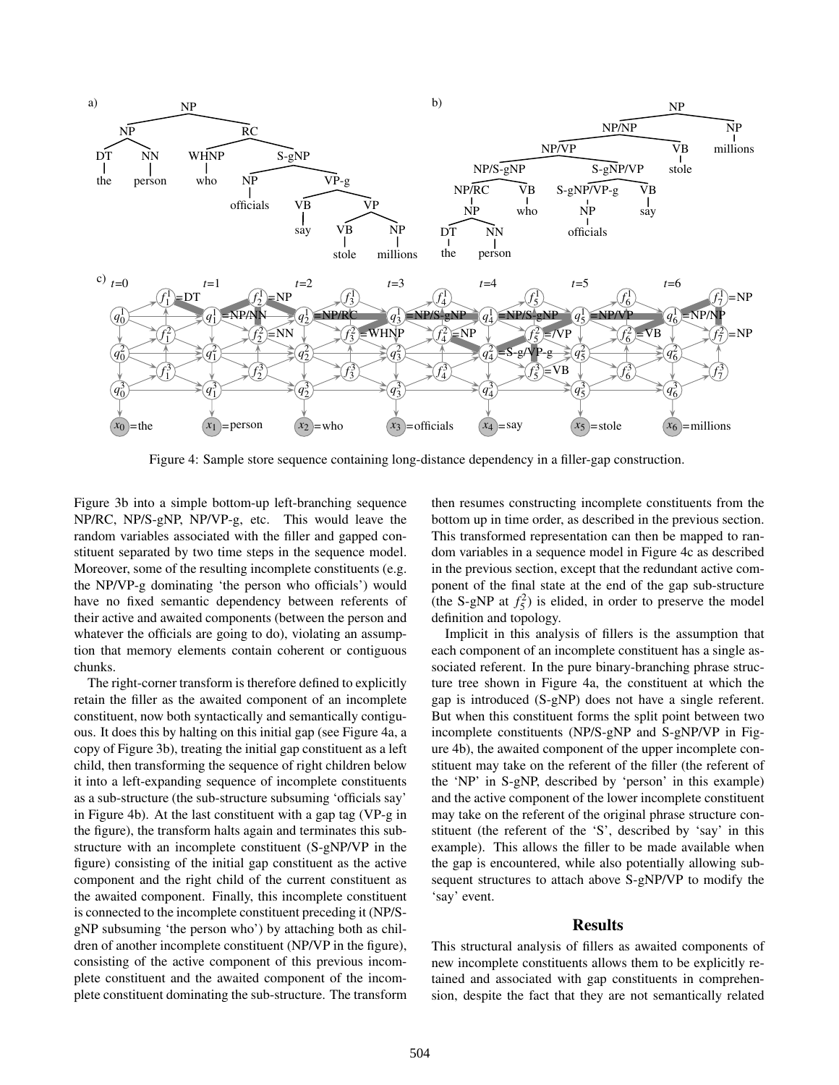

Figure 4: Sample store sequence containing long-distance dependency in a filler-gap construction.

Figure 3b into a simple bottom-up left-branching sequence NP/RC, NP/S-gNP, NP/VP-g, etc. This would leave the random variables associated with the filler and gapped constituent separated by two time steps in the sequence model. Moreover, some of the resulting incomplete constituents (e.g. the NP/VP-g dominating 'the person who officials') would have no fixed semantic dependency between referents of their active and awaited components (between the person and whatever the officials are going to do), violating an assumption that memory elements contain coherent or contiguous chunks.

The right-corner transform is therefore defined to explicitly retain the filler as the awaited component of an incomplete constituent, now both syntactically and semantically contiguous. It does this by halting on this initial gap (see Figure 4a, a copy of Figure 3b), treating the initial gap constituent as a left child, then transforming the sequence of right children below it into a left-expanding sequence of incomplete constituents as a sub-structure (the sub-structure subsuming 'officials say' in Figure 4b). At the last constituent with a gap tag (VP-g in the figure), the transform halts again and terminates this substructure with an incomplete constituent (S-gNP/VP in the figure) consisting of the initial gap constituent as the active component and the right child of the current constituent as the awaited component. Finally, this incomplete constituent is connected to the incomplete constituent preceding it (NP/SgNP subsuming 'the person who') by attaching both as children of another incomplete constituent (NP/VP in the figure), consisting of the active component of this previous incomplete constituent and the awaited component of the incomplete constituent dominating the sub-structure. The transform then resumes constructing incomplete constituents from the bottom up in time order, as described in the previous section. This transformed representation can then be mapped to random variables in a sequence model in Figure 4c as described in the previous section, except that the redundant active component of the final state at the end of the gap sub-structure (the S-gNP at  $f_5^2$ ) is elided, in order to preserve the model definition and topology.

Implicit in this analysis of fillers is the assumption that each component of an incomplete constituent has a single associated referent. In the pure binary-branching phrase structure tree shown in Figure 4a, the constituent at which the gap is introduced (S-gNP) does not have a single referent. But when this constituent forms the split point between two incomplete constituents (NP/S-gNP and S-gNP/VP in Figure 4b), the awaited component of the upper incomplete constituent may take on the referent of the filler (the referent of the 'NP' in S-gNP, described by 'person' in this example) and the active component of the lower incomplete constituent may take on the referent of the original phrase structure constituent (the referent of the 'S', described by 'say' in this example). This allows the filler to be made available when the gap is encountered, while also potentially allowing subsequent structures to attach above S-gNP/VP to modify the 'say' event.

## **Results**

This structural analysis of fillers as awaited components of new incomplete constituents allows them to be explicitly retained and associated with gap constituents in comprehension, despite the fact that they are not semantically related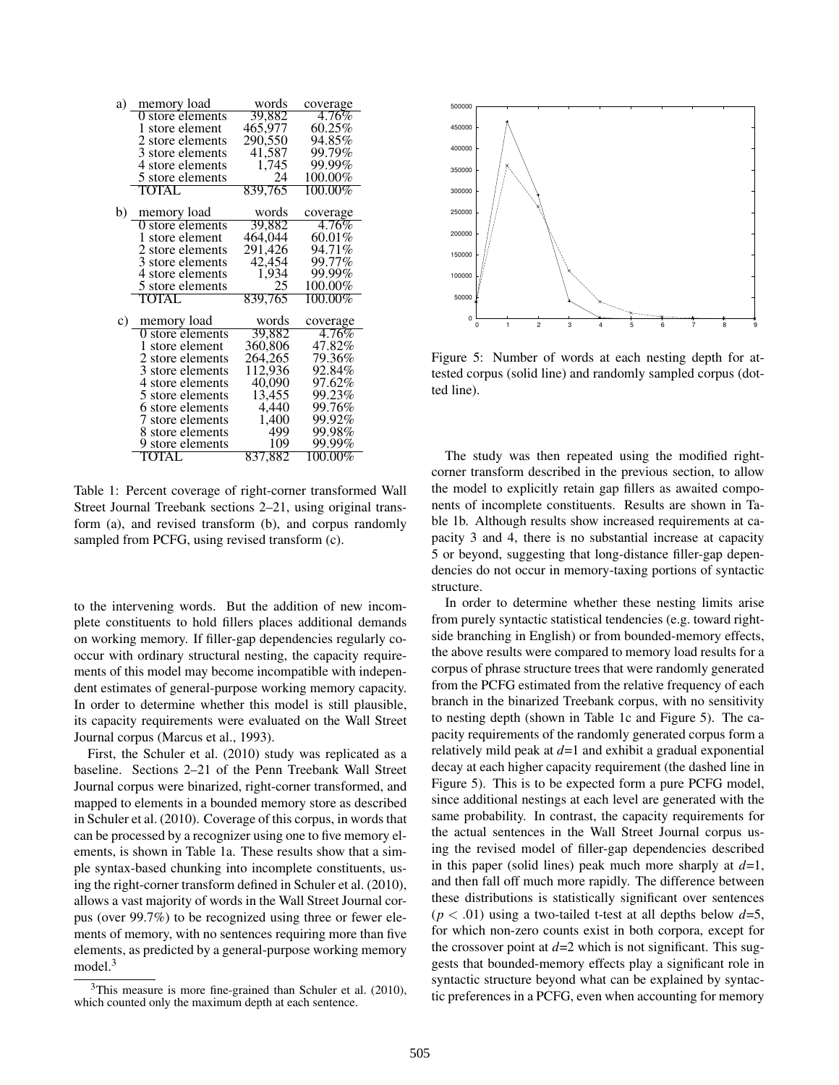| a) | memory load      | words   | coverage   |
|----|------------------|---------|------------|
|    | 0 store elements | 39,882  | 4.76%      |
|    | 1 store element  | 465,977 | 60.25%     |
|    | 2 store elements | 290,550 | 94.85%     |
|    | 3 store elements | 41,587  | 99.79%     |
|    | 4 store elements | 1,745   | 99.99%     |
|    | 5 store elements | 24      | 100.00%    |
|    | TOTAL            | 839,765 | $100.00\%$ |
| b) | memory load      | words   | coverage   |
|    | 0 store elements | 39,882  | $4.76\%$   |
|    | 1 store element  | 464,044 | $60.01\%$  |
|    | 2 store elements | 291,426 | 94.71%     |
|    | 3 store elements | 42,454  | 99.77%     |
|    | 4 store elements | 1,934   | 99.99%     |
|    | 5 store elements | 25      | 100.00%    |
|    | TOTAL            | 839,765 | 100.00%    |
| C) | memory load      | words   | coverage   |
|    | 0 store elements | 39,882  | 4.76%      |
|    | 1 store element  | 360,806 | 47.82%     |
|    | 2 store elements | 264,265 | 79.36%     |
|    | 3 store elements | 112,936 | 92.84%     |
|    | 4 store elements | 40,090  | 97.62%     |
|    | 5 store elements | 13,455  | 99.23%     |
|    | 6 store elements | 4,440   | 99.76%     |
|    | 7 store elements | 1,400   | 99.92%     |
|    | 8 store elements | 499     | 99.98%     |
|    | 9 store elements | 109     | 99.99%     |
|    | <b>TOTAL</b>     | 837,882 | $100.00\%$ |

Table 1: Percent coverage of right-corner transformed Wall Street Journal Treebank sections 2–21, using original transform (a), and revised transform (b), and corpus randomly sampled from PCFG, using revised transform (c).

to the intervening words. But the addition of new incomplete constituents to hold fillers places additional demands on working memory. If filler-gap dependencies regularly cooccur with ordinary structural nesting, the capacity requirements of this model may become incompatible with independent estimates of general-purpose working memory capacity. In order to determine whether this model is still plausible, its capacity requirements were evaluated on the Wall Street Journal corpus (Marcus et al., 1993).

First, the Schuler et al. (2010) study was replicated as a baseline. Sections 2–21 of the Penn Treebank Wall Street Journal corpus were binarized, right-corner transformed, and mapped to elements in a bounded memory store as described in Schuler et al. (2010). Coverage of this corpus, in words that can be processed by a recognizer using one to five memory elements, is shown in Table 1a. These results show that a simple syntax-based chunking into incomplete constituents, using the right-corner transform defined in Schuler et al. (2010), allows a vast majority of words in the Wall Street Journal corpus (over 99.7%) to be recognized using three or fewer elements of memory, with no sentences requiring more than five elements, as predicted by a general-purpose working memory model.<sup>3</sup>



Figure 5: Number of words at each nesting depth for attested corpus (solid line) and randomly sampled corpus (dotted line).

The study was then repeated using the modified rightcorner transform described in the previous section, to allow the model to explicitly retain gap fillers as awaited components of incomplete constituents. Results are shown in Table 1b. Although results show increased requirements at capacity 3 and 4, there is no substantial increase at capacity 5 or beyond, suggesting that long-distance filler-gap dependencies do not occur in memory-taxing portions of syntactic structure.

In order to determine whether these nesting limits arise from purely syntactic statistical tendencies (e.g. toward rightside branching in English) or from bounded-memory effects, the above results were compared to memory load results for a corpus of phrase structure trees that were randomly generated from the PCFG estimated from the relative frequency of each branch in the binarized Treebank corpus, with no sensitivity to nesting depth (shown in Table 1c and Figure 5). The capacity requirements of the randomly generated corpus form a relatively mild peak at *d*=1 and exhibit a gradual exponential decay at each higher capacity requirement (the dashed line in Figure 5). This is to be expected form a pure PCFG model, since additional nestings at each level are generated with the same probability. In contrast, the capacity requirements for the actual sentences in the Wall Street Journal corpus using the revised model of filler-gap dependencies described in this paper (solid lines) peak much more sharply at *d*=1, and then fall off much more rapidly. The difference between these distributions is statistically significant over sentences  $(p < .01)$  using a two-tailed t-test at all depths below  $d=5$ , for which non-zero counts exist in both corpora, except for the crossover point at  $d=2$  which is not significant. This suggests that bounded-memory effects play a significant role in syntactic structure beyond what can be explained by syntactic preferences in a PCFG, even when accounting for memory

 $3$ This measure is more fine-grained than Schuler et al. (2010), which counted only the maximum depth at each sentence.